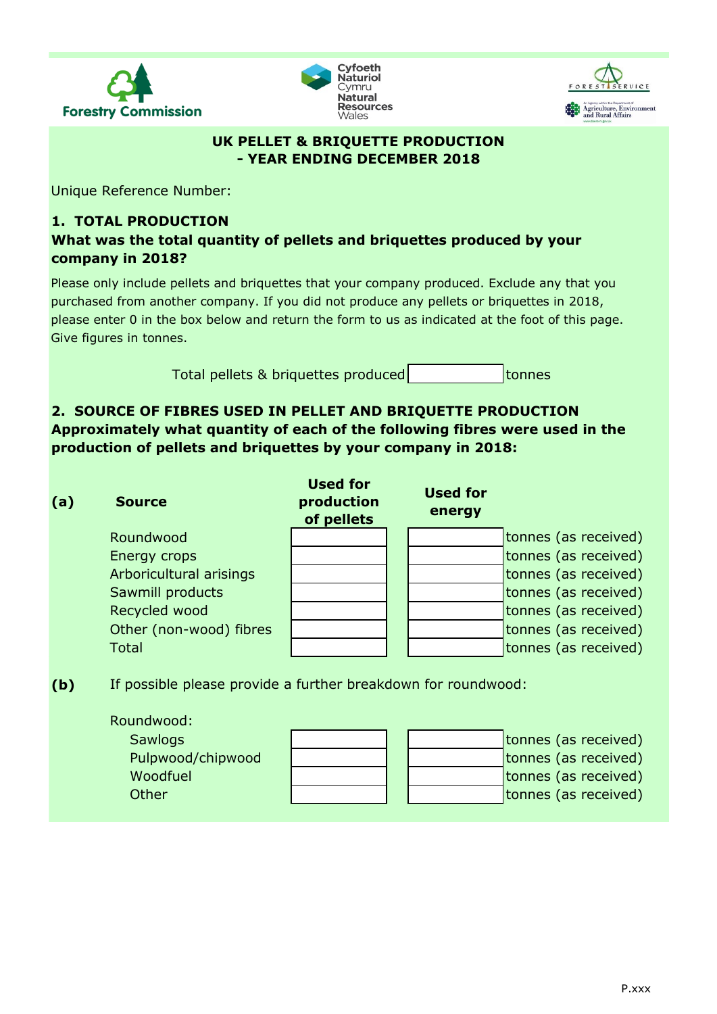





### **UK PELLET & BRIQUETTE PRODUCTION - YEAR ENDING DECEMBER 2018**

Unique Reference Number:

# **1. TOTAL PRODUCTION**

**What was the total quantity of pellets and briquettes produced by your company in 2018?**

Please only include pellets and briquettes that your company produced. Exclude any that you purchased from another company. If you did not produce any pellets or briquettes in 2018, please enter 0 in the box below and return the form to us as indicated at the foot of this page. Give figures in tonnes.

> tonnes Total pellets & briquettes produced

# **2. SOURCE OF FIBRES USED IN PELLET AND BRIQUETTE PRODUCTION Approximately what quantity of each of the following fibres were used in the production of pellets and briquettes by your company in 2018:**

| (a) | <b>Source</b>           | <b>Used for</b><br>production<br>of pellets | <b>Used for</b><br>energy |                      |
|-----|-------------------------|---------------------------------------------|---------------------------|----------------------|
|     | Roundwood               |                                             |                           | tonnes (as received) |
|     | Energy crops            |                                             |                           | tonnes (as received) |
|     | Arboricultural arisings |                                             |                           | tonnes (as received) |
|     | Sawmill products        |                                             |                           | tonnes (as received) |
|     | Recycled wood           |                                             |                           | tonnes (as received) |
|     | Other (non-wood) fibres |                                             |                           | tonnes (as received) |
|     | <b>Total</b>            |                                             |                           | tonnes (as received) |
|     |                         |                                             |                           |                      |

**(b)** If possible please provide a further breakdown for roundwood:

| Roundwood:        |  |                      |
|-------------------|--|----------------------|
| <b>Sawlogs</b>    |  | tonnes (as received) |
| Pulpwood/chipwood |  | tonnes (as received) |
| Woodfuel          |  | tonnes (as received) |
| Other             |  | tonnes (as received) |
|                   |  |                      |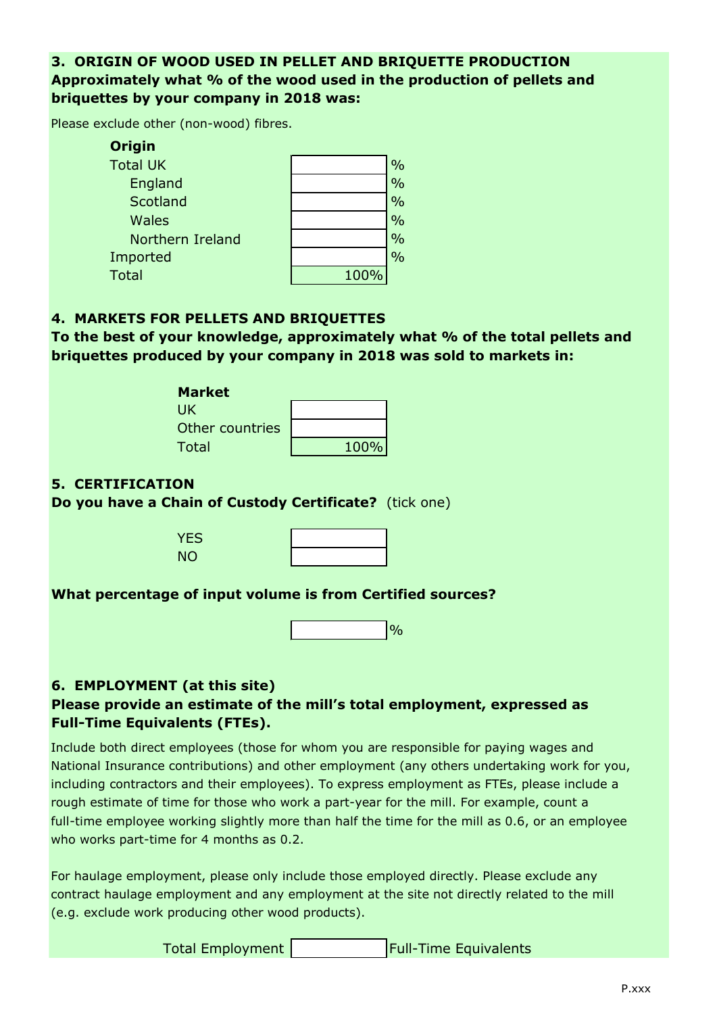## **3. ORIGIN OF WOOD USED IN PELLET AND BRIQUETTE PRODUCTION Approximately what % of the wood used in the production of pellets and briquettes by your company in 2018 was:**

Please exclude other (non-wood) fibres.

| <b>Origin</b>    |      |               |
|------------------|------|---------------|
| <b>Total UK</b>  |      | $\frac{0}{0}$ |
| England          |      | $\frac{0}{0}$ |
| Scotland         |      | $\frac{0}{0}$ |
| <b>Wales</b>     |      | $\frac{0}{0}$ |
| Northern Ireland |      | $\frac{0}{0}$ |
| Imported         |      | $\frac{0}{0}$ |
| <b>Total</b>     | 100% |               |

#### **4. MARKETS FOR PELLETS AND BRIQUETTES**

**To the best of your knowledge, approximately what % of the total pellets and briquettes produced by your company in 2018 was sold to markets in:**

> **Market** UK Other countries Total

| 100% |
|------|

### **5. CERTIFICATION**

**Do you have a Chain of Custody Certificate?** (tick one)

YES NO

#### **What percentage of input volume is from Certified sources?**

## **6. EMPLOYMENT (at this site) Please provide an estimate of the mill's total employment, expressed as Full-Time Equivalents (FTEs).**

Include both direct employees (those for whom you are responsible for paying wages and National Insurance contributions) and other employment (any others undertaking work for you, including contractors and their employees). To express employment as FTEs, please include a rough estimate of time for those who work a part-year for the mill. For example, count a full-time employee working slightly more than half the time for the mill as 0.6, or an employee who works part-time for 4 months as 0.2.

For haulage employment, please only include those employed directly. Please exclude any contract haulage employment and any employment at the site not directly related to the mill (e.g. exclude work producing other wood products).

| Total Employment |  | <b>Full-Time Equivalents</b> |
|------------------|--|------------------------------|
|------------------|--|------------------------------|